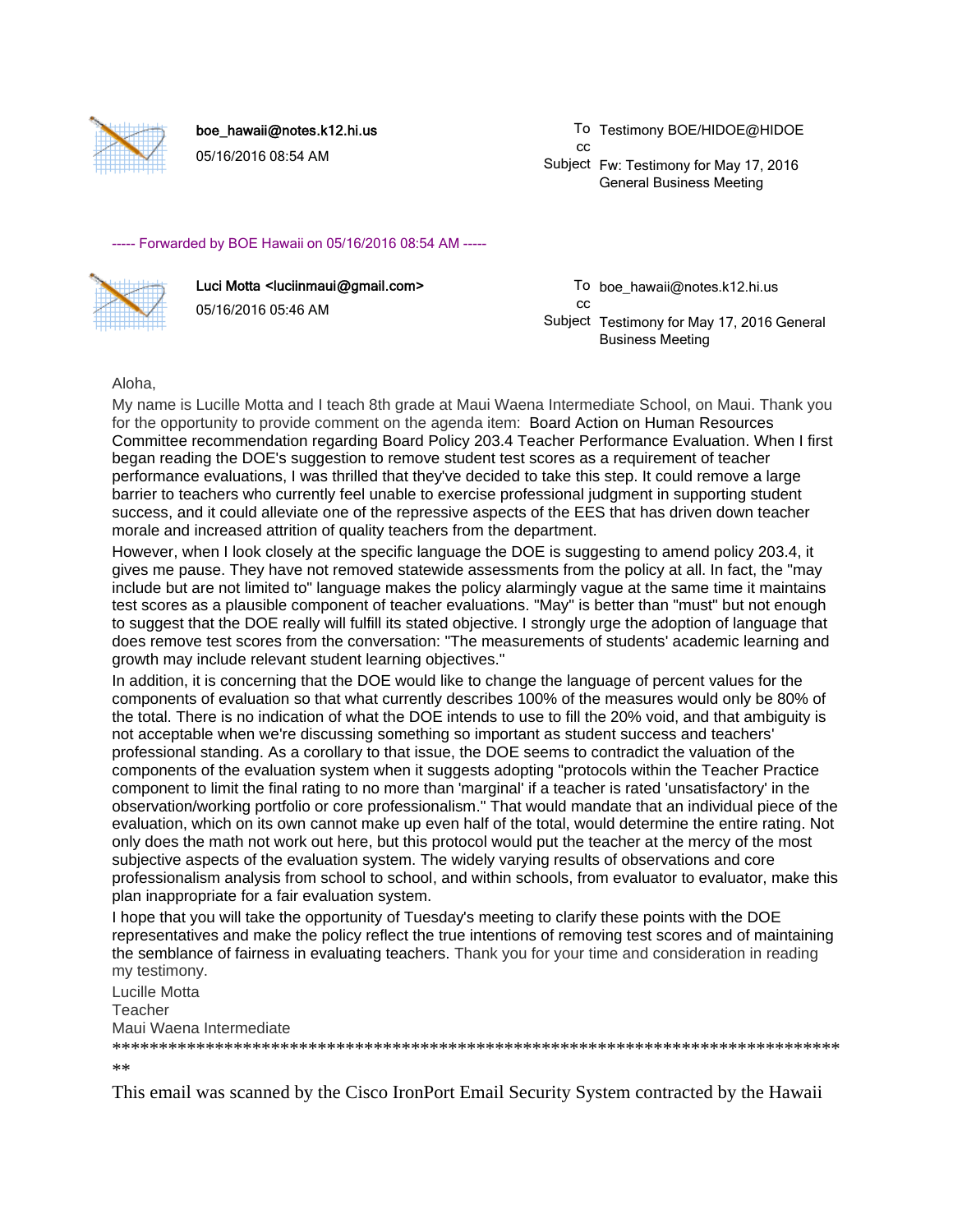

boe\_hawaii@notes.k12.hi.us

05/16/2016 08:54 AM

To Testimony BOE/HIDOE@HIDOE cc

Subject Fw: Testimony for May 17, 2016 General Business Meeting

## ----- Forwarded by BOE Hawaii on 05/16/2016 08:54 AM -----



Luci Motta <luciinmaui@gmail.com> 05/16/2016 05:46 AM

To boe\_hawaii@notes.k12.hi.us cc

Subject Testimony for May 17, 2016 General Business Meeting

Aloha,

My name is Lucille Motta and I teach 8th grade at Maui Waena Intermediate School, on Maui. Thank you for the opportunity to provide comment on the agenda item: Board Action on Human Resources Committee recommendation regarding Board Policy 203.4 Teacher Performance Evaluation. When I first began reading the DOE's suggestion to remove student test scores as a requirement of teacher performance evaluations, I was thrilled that they've decided to take this step. It could remove a large barrier to teachers who currently feel unable to exercise professional judgment in supporting student success, and it could alleviate one of the repressive aspects of the EES that has driven down teacher morale and increased attrition of quality teachers from the department.

However, when I look closely at the specific language the DOE is suggesting to amend policy 203.4, it gives me pause. They have not removed statewide assessments from the policy at all. In fact, the "may include but are not limited to" language makes the policy alarmingly vague at the same time it maintains test scores as a plausible component of teacher evaluations. "May" is better than "must" but not enough to suggest that the DOE really will fulfill its stated objective. I strongly urge the adoption of language that does remove test scores from the conversation: "The measurements of students' academic learning and growth may include relevant student learning objectives."

In addition, it is concerning that the DOE would like to change the language of percent values for the components of evaluation so that what currently describes 100% of the measures would only be 80% of the total. There is no indication of what the DOE intends to use to fill the 20% void, and that ambiguity is not acceptable when we're discussing something so important as student success and teachers' professional standing. As a corollary to that issue, the DOE seems to contradict the valuation of the components of the evaluation system when it suggests adopting "protocols within the Teacher Practice component to limit the final rating to no more than 'marginal' if a teacher is rated 'unsatisfactory' in the observation/working portfolio or core professionalism." That would mandate that an individual piece of the evaluation, which on its own cannot make up even half of the total, would determine the entire rating. Not only does the math not work out here, but this protocol would put the teacher at the mercy of the most subjective aspects of the evaluation system. The widely varying results of observations and core professionalism analysis from school to school, and within schools, from evaluator to evaluator, make this plan inappropriate for a fair evaluation system.

I hope that you will take the opportunity of Tuesday's meeting to clarify these points with the DOE representatives and make the policy reflect the true intentions of removing test scores and of maintaining the semblance of fairness in evaluating teachers. Thank you for your time and consideration in reading my testimony.

Lucille Motta **Teacher** Maui Waena Intermediate \*\*\*\*\*\*\*\*\*\*\*\*\*\*\*\*\*\*\*\*\*\*\*\*\*\*\*\*\*\*\*\*\*\*\*\*\*\*\*\*\*\*\*\*\*\*\*\*\*\*\*\*\*\*\*\*\*\*\*\*\*\*\*\*\*\*\*\*\*\*\*\*\*\*\*\*\*\*

\*\*

This email was scanned by the Cisco IronPort Email Security System contracted by the Hawaii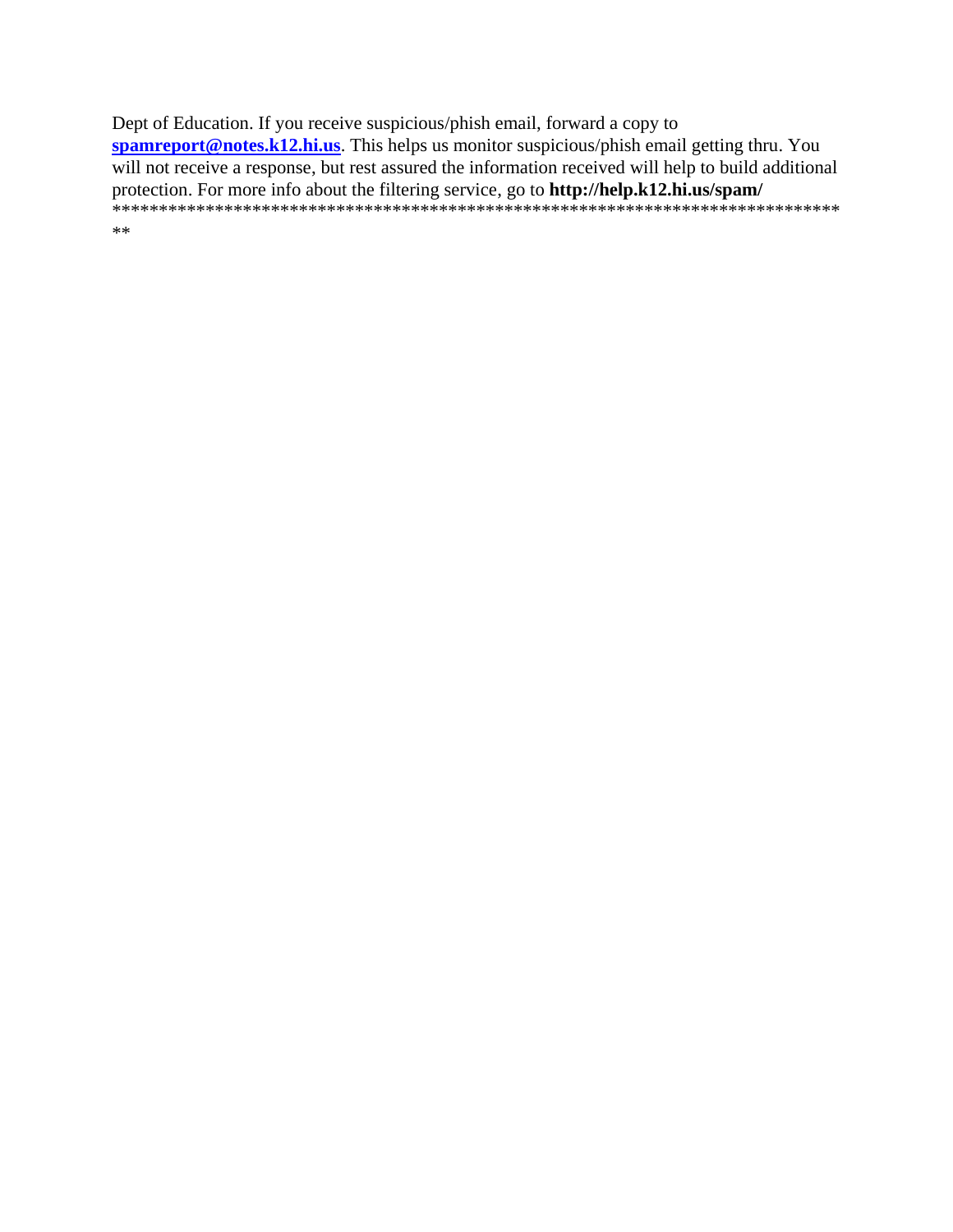Dept of Education. If you receive suspicious/phish email, forward a copy to spamreport@notes.k12.hi.us. This helps us monitor suspicious/phish email getting thru. You will not receive a response, but rest assured the information received will help to build additional  $\ast\ast$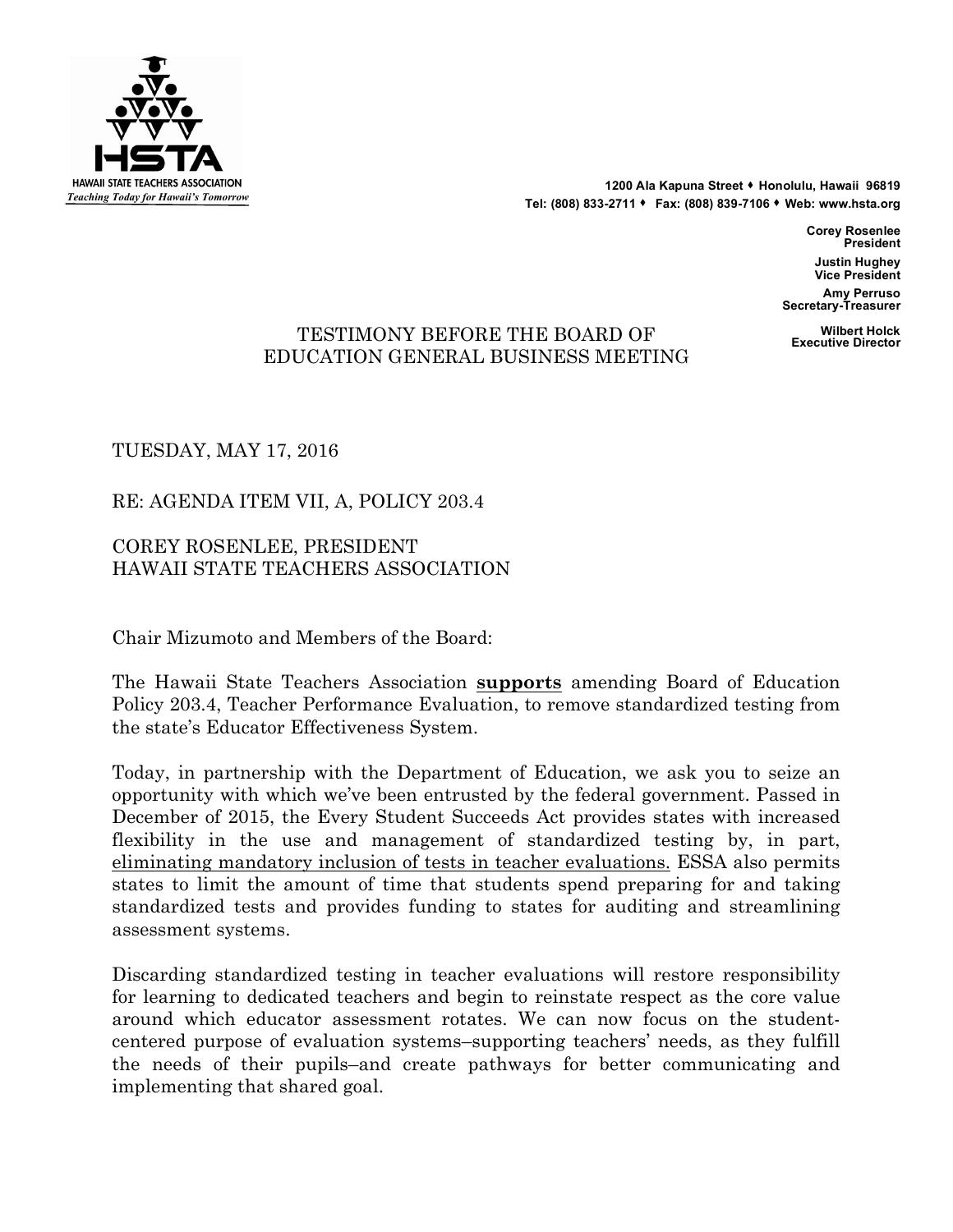

**1200 Ala Kapuna Street** s **Honolulu, Hawaii 96819 Tel: (808) 833-2711** s **Fax: (808) 839-7106** s **Web: www.hsta.org**

> **Corey Rosenlee President Justin Hughey Vice President**

**Amy Perruso Secretary-Treasurer**

## **Wilbert Holck** TE **Executive Director** STIMONY BEFORE THE BOARD OF EDUCATION GENERAL BUSINESS MEETING

TUESDAY, MAY 17, 2016

RE: AGENDA ITEM VII, A, POLICY 203.4

COREY ROSENLEE, PRESIDENT HAWAII STATE TEACHERS ASSOCIATION

Chair Mizumoto and Members of the Board:

The Hawaii State Teachers Association **supports** amending Board of Education Policy 203.4, Teacher Performance Evaluation, to remove standardized testing from the state's Educator Effectiveness System.

Today, in partnership with the Department of Education, we ask you to seize an opportunity with which we've been entrusted by the federal government. Passed in December of 2015, the Every Student Succeeds Act provides states with increased flexibility in the use and management of standardized testing by, in part, eliminating mandatory inclusion of tests in teacher evaluations. ESSA also permits states to limit the amount of time that students spend preparing for and taking standardized tests and provides funding to states for auditing and streamlining assessment systems.

Discarding standardized testing in teacher evaluations will restore responsibility for learning to dedicated teachers and begin to reinstate respect as the core value around which educator assessment rotates. We can now focus on the studentcentered purpose of evaluation systems–supporting teachers' needs, as they fulfill the needs of their pupils–and create pathways for better communicating and implementing that shared goal.